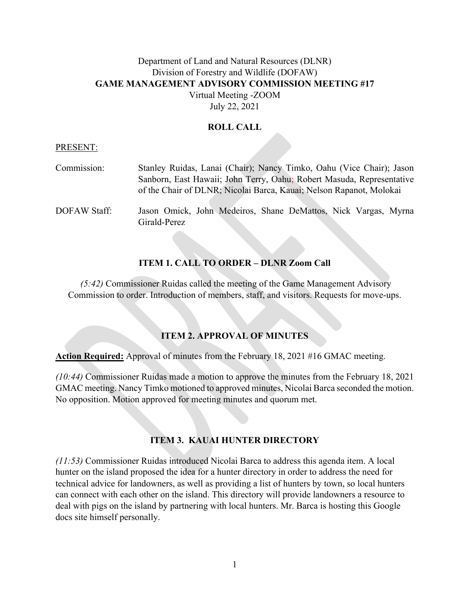# Department of Land and Natural Resources (DLNR) Division of Forestry and Wildlife (DOFAW) **GAME MANAGEMENT ADVISORY COMMISSION MEETING #17** Virtual Meeting -ZOOM

July 22, 2021

### **ROLL CALL**

#### PRESENT:

| Commission:  | Stanley Ruidas, Lanai (Chair); Nancy Timko, Oahu (Vice Chair); Jason           |
|--------------|--------------------------------------------------------------------------------|
|              | Sanborn, East Hawaii; John Terry, Oahu; Robert Masuda, Representative          |
|              | of the Chair of DLNR; Nicolai Barca, Kauai; Nelson Rapanot, Molokai            |
| DOFAW Staff: | Jason Omick, John Medeiros, Shane DeMattos, Nick Vargas, Myrna<br>Girald-Perez |

### **ITEM 1. CALL TO ORDER – DLNR Zoom Call**

*(5:42)* Commissioner Ruidas called the meeting of the Game Management Advisory Commission to order. Introduction of members, staff, and visitors. Requests for move-ups.

### **ITEM 2. APPROVAL OF MINUTES**

**Action Required:** Approval of minutes from the February 18, 2021 #16 GMAC meeting.

*(10:44)* Commissioner Ruidas made a motion to approve the minutes from the February 18, 2021 GMAC meeting. Nancy Timko motioned to approved minutes, Nicolai Barca seconded the motion. No opposition. Motion approved for meeting minutes and quorum met.

### **ITEM 3. KAUAI HUNTER DIRECTORY**

*(11:53)* Commissioner Ruidas introduced Nicolai Barca to address this agenda item. A local hunter on the island proposed the idea for a hunter directory in order to address the need for technical advice for landowners, as well as providing a list of hunters by town, so local hunters can connect with each other on the island. This directory will provide landowners a resource to deal with pigs on the island by partnering with local hunters. Mr. Barca is hosting this Google docs site himself personally.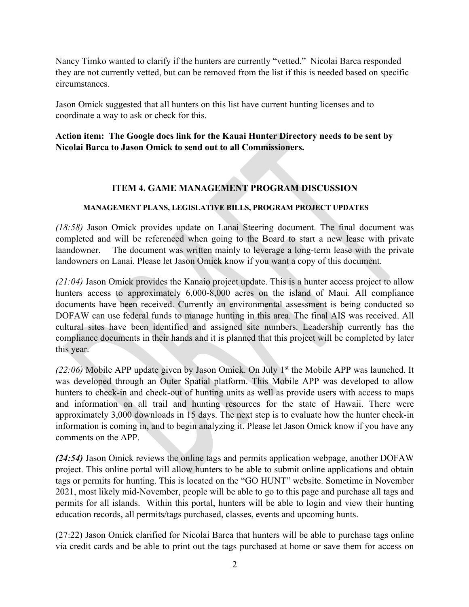Nancy Timko wanted to clarify if the hunters are currently "vetted." Nicolai Barca responded they are not currently vetted, but can be removed from the list if this is needed based on specific circumstances.

Jason Omick suggested that all hunters on this list have current hunting licenses and to coordinate a way to ask or check for this.

## **Action item: The Google docs link for the Kauai Hunter Directory needs to be sent by Nicolai Barca to Jason Omick to send out to all Commissioners.**

## **ITEM 4. GAME MANAGEMENT PROGRAM DISCUSSION**

### **MANAGEMENT PLANS, LEGISLATIVE BILLS, PROGRAM PROJECT UPDATES**

*(18:58)* Jason Omick provides update on Lanai Steering document. The final document was completed and will be referenced when going to the Board to start a new lease with private laandowner. The document was written mainly to leverage a long-term lease with the private landowners on Lanai. Please let Jason Omick know if you want a copy of this document.

*(21:04)* Jason Omick provides the Kanaio project update. This is a hunter access project to allow hunters access to approximately 6,000-8,000 acres on the island of Maui. All compliance documents have been received. Currently an environmental assessment is being conducted so DOFAW can use federal funds to manage hunting in this area. The final AIS was received. All cultural sites have been identified and assigned site numbers. Leadership currently has the compliance documents in their hands and it is planned that this project will be completed by later this year.

(22:06) Mobile APP update given by Jason Omick. On July 1<sup>st</sup> the Mobile APP was launched. It was developed through an Outer Spatial platform. This Mobile APP was developed to allow hunters to check-in and check-out of hunting units as well as provide users with access to maps and information on all trail and hunting resources for the state of Hawaii. There were approximately 3,000 downloads in 15 days. The next step is to evaluate how the hunter check-in information is coming in, and to begin analyzing it. Please let Jason Omick know if you have any comments on the APP.

*(24:54)* Jason Omick reviews the online tags and permits application webpage, another DOFAW project. This online portal will allow hunters to be able to submit online applications and obtain tags or permits for hunting. This is located on the "GO HUNT" website. Sometime in November 2021, most likely mid-November, people will be able to go to this page and purchase all tags and permits for all islands. Within this portal, hunters will be able to login and view their hunting education records, all permits/tags purchased, classes, events and upcoming hunts.

(27:22) Jason Omick clarified for Nicolai Barca that hunters will be able to purchase tags online via credit cards and be able to print out the tags purchased at home or save them for access on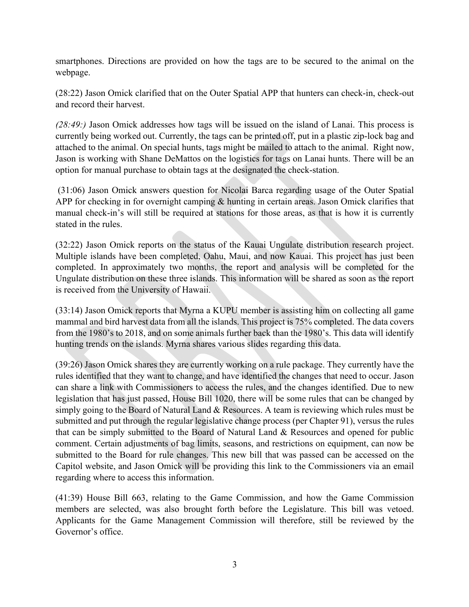smartphones. Directions are provided on how the tags are to be secured to the animal on the webpage.

(28:22) Jason Omick clarified that on the Outer Spatial APP that hunters can check-in, check-out and record their harvest.

*(28:49:)* Jason Omick addresses how tags will be issued on the island of Lanai. This process is currently being worked out. Currently, the tags can be printed off, put in a plastic zip-lock bag and attached to the animal. On special hunts, tags might be mailed to attach to the animal. Right now, Jason is working with Shane DeMattos on the logistics for tags on Lanai hunts. There will be an option for manual purchase to obtain tags at the designated the check-station.

(31:06) Jason Omick answers question for Nicolai Barca regarding usage of the Outer Spatial APP for checking in for overnight camping & hunting in certain areas. Jason Omick clarifies that manual check-in's will still be required at stations for those areas, as that is how it is currently stated in the rules.

(32:22) Jason Omick reports on the status of the Kauai Ungulate distribution research project. Multiple islands have been completed, Oahu, Maui, and now Kauai. This project has just been completed. In approximately two months, the report and analysis will be completed for the Ungulate distribution on these three islands. This information will be shared as soon as the report is received from the University of Hawaii.

(33:14) Jason Omick reports that Myrna a KUPU member is assisting him on collecting all game mammal and bird harvest data from all the islands. This project is 75% completed. The data covers from the 1980's to 2018, and on some animals further back than the 1980's. This data will identify hunting trends on the islands. Myrna shares various slides regarding this data.

(39:26) Jason Omick shares they are currently working on a rule package. They currently have the rules identified that they want to change, and have identified the changes that need to occur. Jason can share a link with Commissioners to access the rules, and the changes identified. Due to new legislation that has just passed, House Bill 1020, there will be some rules that can be changed by simply going to the Board of Natural Land & Resources. A team is reviewing which rules must be submitted and put through the regular legislative change process (per Chapter 91), versus the rules that can be simply submitted to the Board of Natural Land & Resources and opened for public comment. Certain adjustments of bag limits, seasons, and restrictions on equipment, can now be submitted to the Board for rule changes. This new bill that was passed can be accessed on the Capitol website, and Jason Omick will be providing this link to the Commissioners via an email regarding where to access this information.

(41:39) House Bill 663, relating to the Game Commission, and how the Game Commission members are selected, was also brought forth before the Legislature. This bill was vetoed. Applicants for the Game Management Commission will therefore, still be reviewed by the Governor's office.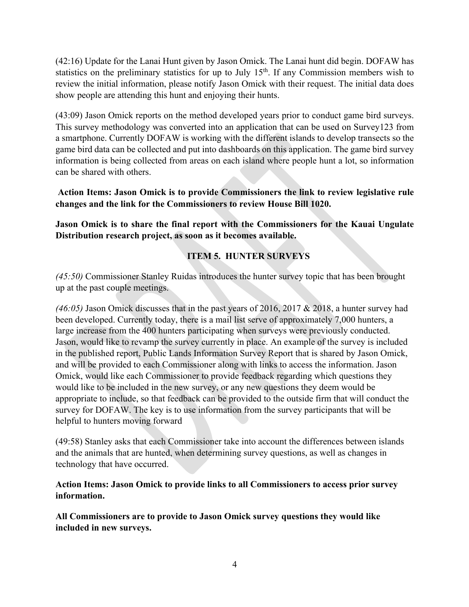(42:16) Update for the Lanai Hunt given by Jason Omick. The Lanai hunt did begin. DOFAW has statistics on the preliminary statistics for up to July 15<sup>th</sup>. If any Commission members wish to review the initial information, please notify Jason Omick with their request. The initial data does show people are attending this hunt and enjoying their hunts.

(43:09) Jason Omick reports on the method developed years prior to conduct game bird surveys. This survey methodology was converted into an application that can be used on Survey123 from a smartphone. Currently DOFAW is working with the different islands to develop transects so the game bird data can be collected and put into dashboards on this application. The game bird survey information is being collected from areas on each island where people hunt a lot, so information can be shared with others.

**Action Items: Jason Omick is to provide Commissioners the link to review legislative rule changes and the link for the Commissioners to review House Bill 1020.**

**Jason Omick is to share the final report with the Commissioners for the Kauai Ungulate Distribution research project, as soon as it becomes available.**

## **ITEM 5. HUNTER SURVEYS**

*(45:50)* Commissioner Stanley Ruidas introduces the hunter survey topic that has been brought up at the past couple meetings.

*(46:05)* Jason Omick discusses that in the past years of 2016, 2017 & 2018, a hunter survey had been developed. Currently today, there is a mail list serve of approximately 7,000 hunters, a large increase from the 400 hunters participating when surveys were previously conducted. Jason, would like to revamp the survey currently in place. An example of the survey is included in the published report, Public Lands Information Survey Report that is shared by Jason Omick, and will be provided to each Commissioner along with links to access the information. Jason Omick, would like each Commissioner to provide feedback regarding which questions they would like to be included in the new survey, or any new questions they deem would be appropriate to include, so that feedback can be provided to the outside firm that will conduct the survey for DOFAW. The key is to use information from the survey participants that will be helpful to hunters moving forward

(49:58) Stanley asks that each Commissioner take into account the differences between islands and the animals that are hunted, when determining survey questions, as well as changes in technology that have occurred.

### **Action Items: Jason Omick to provide links to all Commissioners to access prior survey information.**

**All Commissioners are to provide to Jason Omick survey questions they would like included in new surveys.**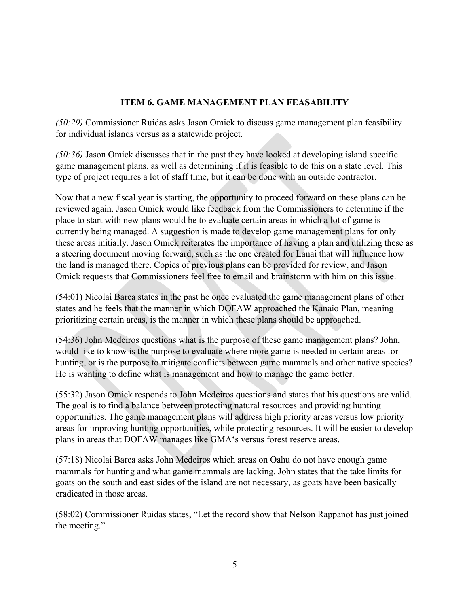## **ITEM 6. GAME MANAGEMENT PLAN FEASABILITY**

*(50:29)* Commissioner Ruidas asks Jason Omick to discuss game management plan feasibility for individual islands versus as a statewide project.

*(50:36)* Jason Omick discusses that in the past they have looked at developing island specific game management plans, as well as determining if it is feasible to do this on a state level. This type of project requires a lot of staff time, but it can be done with an outside contractor.

Now that a new fiscal year is starting, the opportunity to proceed forward on these plans can be reviewed again. Jason Omick would like feedback from the Commissioners to determine if the place to start with new plans would be to evaluate certain areas in which a lot of game is currently being managed. A suggestion is made to develop game management plans for only these areas initially. Jason Omick reiterates the importance of having a plan and utilizing these as a steering document moving forward, such as the one created for Lanai that will influence how the land is managed there. Copies of previous plans can be provided for review, and Jason Omick requests that Commissioners feel free to email and brainstorm with him on this issue.

(54:01) Nicolai Barca states in the past he once evaluated the game management plans of other states and he feels that the manner in which DOFAW approached the Kanaio Plan, meaning prioritizing certain areas, is the manner in which these plans should be approached.

(54:36) John Medeiros questions what is the purpose of these game management plans? John, would like to know is the purpose to evaluate where more game is needed in certain areas for hunting, or is the purpose to mitigate conflicts between game mammals and other native species? He is wanting to define what is management and how to manage the game better.

(55:32) Jason Omick responds to John Medeiros questions and states that his questions are valid. The goal is to find a balance between protecting natural resources and providing hunting opportunities. The game management plans will address high priority areas versus low priority areas for improving hunting opportunities, while protecting resources. It will be easier to develop plans in areas that DOFAW manages like GMAʻs versus forest reserve areas.

(57:18) Nicolai Barca asks John Medeiros which areas on Oahu do not have enough game mammals for hunting and what game mammals are lacking. John states that the take limits for goats on the south and east sides of the island are not necessary, as goats have been basically eradicated in those areas.

(58:02) Commissioner Ruidas states, "Let the record show that Nelson Rappanot has just joined the meeting."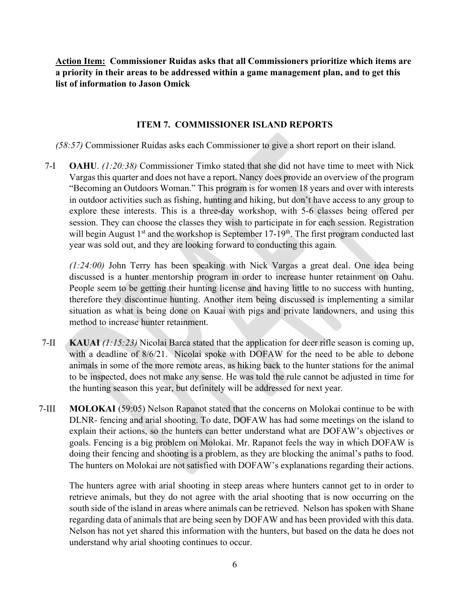**Action Item: Commissioner Ruidas asks that all Commissioners prioritize which items are a priority in their areas to be addressed within a game management plan, and to get this list of information to Jason Omick**

### **ITEM 7. COMMISSIONER ISLAND REPORTS**

*(58:57)* Commissioner Ruidas asks each Commissioner to give a short report on their island.

7-I **OAHU**. *(1:20:38)* Commissioner Timko stated that she did not have time to meet with Nick Vargas this quarter and does not have a report. Nancy does provide an overview of the program "Becoming an Outdoors Woman." This program is for women 18 years and over with interests in outdoor activities such as fishing, hunting and hiking, but don't have access to any group to explore these interests. This is a three-day workshop, with 5-6 classes being offered per session. They can choose the classes they wish to participate in for each session. Registration will begin August  $1<sup>st</sup>$  and the workshop is September 17-19<sup>th</sup>. The first program conducted last year was sold out, and they are looking forward to conducting this again*.* 

*(1:24:00)* John Terry has been speaking with Nick Vargas a great deal. One idea being discussed is a hunter mentorship program in order to increase hunter retainment on Oahu. People seem to be getting their hunting license and having little to no success with hunting, therefore they discontinue hunting. Another item being discussed is implementing a similar situation as what is being done on Kauai with pigs and private landowners, and using this method to increase hunter retainment.

- 7-II **KAUAI** *(1:15:23)* Nicolai Barca stated that the application for deer rifle season is coming up, with a deadline of 8/6/21. Nicolai spoke with DOFAW for the need to be able to debone animals in some of the more remote areas, as hiking back to the hunter stations for the animal to be inspected, does not make any sense. He was told the rule cannot be adjusted in time for the hunting season this year, but definitely will be addressed for next year.
- 7-III **MOLOKAI** (59:05) Nelson Rapanot stated that the concerns on Molokai continue to be with DLNR- fencing and arial shooting. To date, DOFAW has had some meetings on the island to explain their actions, so the hunters can better understand what are DOFAW's objectives or goals. Fencing is a big problem on Molokai. Mr. Rapanot feels the way in which DOFAW is doing their fencing and shooting is a problem, as they are blocking the animal's paths to food. The hunters on Molokai are not satisfied with DOFAW's explanations regarding their actions.

The hunters agree with arial shooting in steep areas where hunters cannot get to in order to retrieve animals, but they do not agree with the arial shooting that is now occurring on the south side of the island in areas where animals can be retrieved. Nelson has spoken with Shane regarding data of animals that are being seen by DOFAW and has been provided with this data. Nelson has not yet shared this information with the hunters, but based on the data he does not understand why arial shooting continues to occur.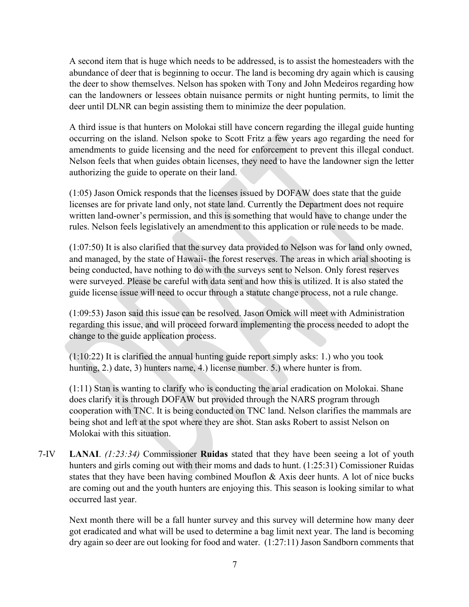A second item that is huge which needs to be addressed, is to assist the homesteaders with the abundance of deer that is beginning to occur. The land is becoming dry again which is causing the deer to show themselves. Nelson has spoken with Tony and John Medeiros regarding how can the landowners or lessees obtain nuisance permits or night hunting permits, to limit the deer until DLNR can begin assisting them to minimize the deer population.

A third issue is that hunters on Molokai still have concern regarding the illegal guide hunting occurring on the island. Nelson spoke to Scott Fritz a few years ago regarding the need for amendments to guide licensing and the need for enforcement to prevent this illegal conduct. Nelson feels that when guides obtain licenses, they need to have the landowner sign the letter authorizing the guide to operate on their land.

(1:05) Jason Omick responds that the licenses issued by DOFAW does state that the guide licenses are for private land only, not state land. Currently the Department does not require written land-owner's permission, and this is something that would have to change under the rules. Nelson feels legislatively an amendment to this application or rule needs to be made.

(1:07:50) It is also clarified that the survey data provided to Nelson was for land only owned, and managed, by the state of Hawaii- the forest reserves. The areas in which arial shooting is being conducted, have nothing to do with the surveys sent to Nelson. Only forest reserves were surveyed. Please be careful with data sent and how this is utilized. It is also stated the guide license issue will need to occur through a statute change process, not a rule change.

(1:09:53) Jason said this issue can be resolved. Jason Omick will meet with Administration regarding this issue, and will proceed forward implementing the process needed to adopt the change to the guide application process.

(1:10:22) It is clarified the annual hunting guide report simply asks: 1.) who you took hunting, 2.) date, 3) hunters name, 4.) license number. 5.) where hunter is from.

(1:11) Stan is wanting to clarify who is conducting the arial eradication on Molokai. Shane does clarify it is through DOFAW but provided through the NARS program through cooperation with TNC. It is being conducted on TNC land. Nelson clarifies the mammals are being shot and left at the spot where they are shot. Stan asks Robert to assist Nelson on Molokai with this situation.

7-IV **LANAI**. *(1:23:34)* Commissioner **Ruidas** stated that they have been seeing a lot of youth hunters and girls coming out with their moms and dads to hunt. (1:25:31) Comissioner Ruidas states that they have been having combined Mouflon & Axis deer hunts. A lot of nice bucks are coming out and the youth hunters are enjoying this. This season is looking similar to what occurred last year.

Next month there will be a fall hunter survey and this survey will determine how many deer got eradicated and what will be used to determine a bag limit next year. The land is becoming dry again so deer are out looking for food and water. (1:27:11) Jason Sandborn comments that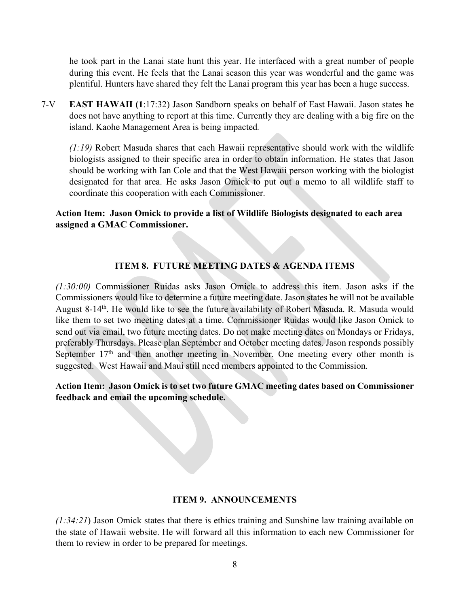he took part in the Lanai state hunt this year. He interfaced with a great number of people during this event. He feels that the Lanai season this year was wonderful and the game was plentiful. Hunters have shared they felt the Lanai program this year has been a huge success.

7-V **EAST HAWAII (1**:17:32) Jason Sandborn speaks on behalf of East Hawaii. Jason states he does not have anything to report at this time. Currently they are dealing with a big fire on the island. Kaohe Management Area is being impacted*.*

*(1:19)* Robert Masuda shares that each Hawaii representative should work with the wildlife biologists assigned to their specific area in order to obtain information. He states that Jason should be working with Ian Cole and that the West Hawaii person working with the biologist designated for that area. He asks Jason Omick to put out a memo to all wildlife staff to coordinate this cooperation with each Commissioner.

### **Action Item: Jason Omick to provide a list of Wildlife Biologists designated to each area assigned a GMAC Commissioner.**

## **ITEM 8. FUTURE MEETING DATES & AGENDA ITEMS**

*(1:30:00)* Commissioner Ruidas asks Jason Omick to address this item. Jason asks if the Commissioners would like to determine a future meeting date. Jason states he will not be available August 8-14<sup>th</sup>. He would like to see the future availability of Robert Masuda. R. Masuda would like them to set two meeting dates at a time. Commissioner Ruidas would like Jason Omick to send out via email, two future meeting dates. Do not make meeting dates on Mondays or Fridays, preferably Thursdays. Please plan September and October meeting dates. Jason responds possibly September 17<sup>th</sup> and then another meeting in November. One meeting every other month is suggested. West Hawaii and Maui still need members appointed to the Commission.

## **Action Item: Jason Omick is to set two future GMAC meeting dates based on Commissioner feedback and email the upcoming schedule.**

### **ITEM 9. ANNOUNCEMENTS**

*(1:34:21*) Jason Omick states that there is ethics training and Sunshine law training available on the state of Hawaii website. He will forward all this information to each new Commissioner for them to review in order to be prepared for meetings.